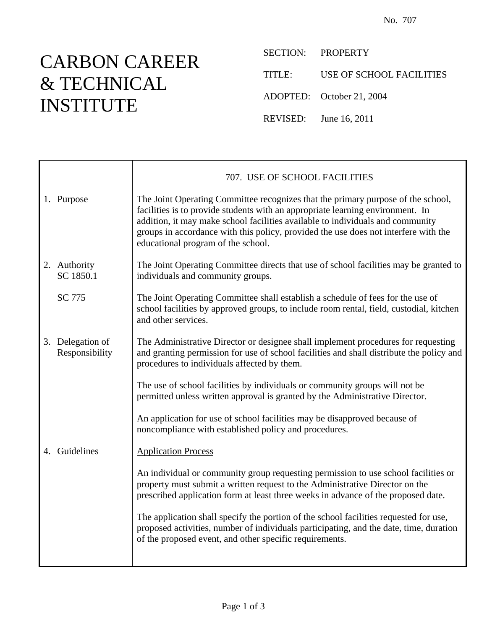## CARBON CAREER & TECHNICAL INSTITUTE

SECTION: PROPERTY

TITLE: USE OF SCHOOL FACILITIES

ADOPTED: October 21, 2004

REVISED: June 16, 2011

|                                    | 707. USE OF SCHOOL FACILITIES                                                                                                                                                                                                                                                                                                                                                     |
|------------------------------------|-----------------------------------------------------------------------------------------------------------------------------------------------------------------------------------------------------------------------------------------------------------------------------------------------------------------------------------------------------------------------------------|
| 1. Purpose                         | The Joint Operating Committee recognizes that the primary purpose of the school,<br>facilities is to provide students with an appropriate learning environment. In<br>addition, it may make school facilities available to individuals and community<br>groups in accordance with this policy, provided the use does not interfere with the<br>educational program of the school. |
| 2. Authority<br>SC 1850.1          | The Joint Operating Committee directs that use of school facilities may be granted to<br>individuals and community groups.                                                                                                                                                                                                                                                        |
| SC 775                             | The Joint Operating Committee shall establish a schedule of fees for the use of<br>school facilities by approved groups, to include room rental, field, custodial, kitchen<br>and other services.                                                                                                                                                                                 |
| 3. Delegation of<br>Responsibility | The Administrative Director or designee shall implement procedures for requesting<br>and granting permission for use of school facilities and shall distribute the policy and<br>procedures to individuals affected by them.                                                                                                                                                      |
|                                    | The use of school facilities by individuals or community groups will not be<br>permitted unless written approval is granted by the Administrative Director.                                                                                                                                                                                                                       |
|                                    | An application for use of school facilities may be disapproved because of<br>noncompliance with established policy and procedures.                                                                                                                                                                                                                                                |
| 4. Guidelines                      | <b>Application Process</b>                                                                                                                                                                                                                                                                                                                                                        |
|                                    | An individual or community group requesting permission to use school facilities or<br>property must submit a written request to the Administrative Director on the<br>prescribed application form at least three weeks in advance of the proposed date.                                                                                                                           |
|                                    | The application shall specify the portion of the school facilities requested for use,<br>proposed activities, number of individuals participating, and the date, time, duration<br>of the proposed event, and other specific requirements.                                                                                                                                        |
|                                    |                                                                                                                                                                                                                                                                                                                                                                                   |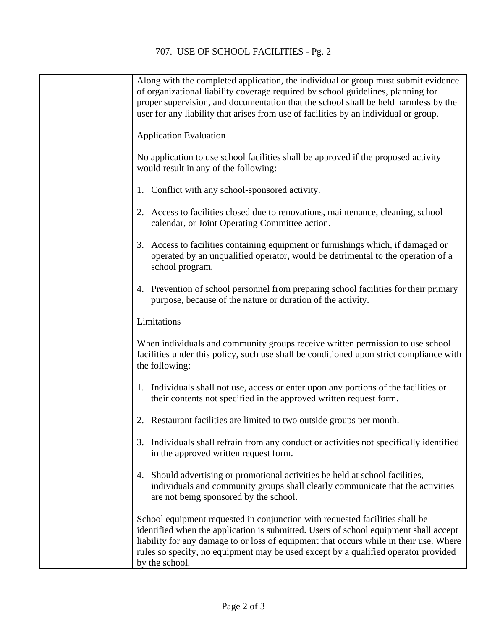| Along with the completed application, the individual or group must submit evidence<br>of organizational liability coverage required by school guidelines, planning for<br>proper supervision, and documentation that the school shall be held harmless by the<br>user for any liability that arises from use of facilities by an individual or group.                  |
|------------------------------------------------------------------------------------------------------------------------------------------------------------------------------------------------------------------------------------------------------------------------------------------------------------------------------------------------------------------------|
| <b>Application Evaluation</b>                                                                                                                                                                                                                                                                                                                                          |
| No application to use school facilities shall be approved if the proposed activity<br>would result in any of the following:                                                                                                                                                                                                                                            |
| 1. Conflict with any school-sponsored activity.                                                                                                                                                                                                                                                                                                                        |
| 2. Access to facilities closed due to renovations, maintenance, cleaning, school<br>calendar, or Joint Operating Committee action.                                                                                                                                                                                                                                     |
| 3. Access to facilities containing equipment or furnishings which, if damaged or<br>operated by an unqualified operator, would be detrimental to the operation of a<br>school program.                                                                                                                                                                                 |
| 4. Prevention of school personnel from preparing school facilities for their primary<br>purpose, because of the nature or duration of the activity.                                                                                                                                                                                                                    |
| Limitations                                                                                                                                                                                                                                                                                                                                                            |
| When individuals and community groups receive written permission to use school<br>facilities under this policy, such use shall be conditioned upon strict compliance with<br>the following:                                                                                                                                                                            |
| 1. Individuals shall not use, access or enter upon any portions of the facilities or<br>their contents not specified in the approved written request form.                                                                                                                                                                                                             |
| 2. Restaurant facilities are limited to two outside groups per month.                                                                                                                                                                                                                                                                                                  |
| 3. Individuals shall refrain from any conduct or activities not specifically identified<br>in the approved written request form.                                                                                                                                                                                                                                       |
| 4. Should advertising or promotional activities be held at school facilities,<br>individuals and community groups shall clearly communicate that the activities<br>are not being sponsored by the school.                                                                                                                                                              |
| School equipment requested in conjunction with requested facilities shall be<br>identified when the application is submitted. Users of school equipment shall accept<br>liability for any damage to or loss of equipment that occurs while in their use. Where<br>rules so specify, no equipment may be used except by a qualified operator provided<br>by the school. |